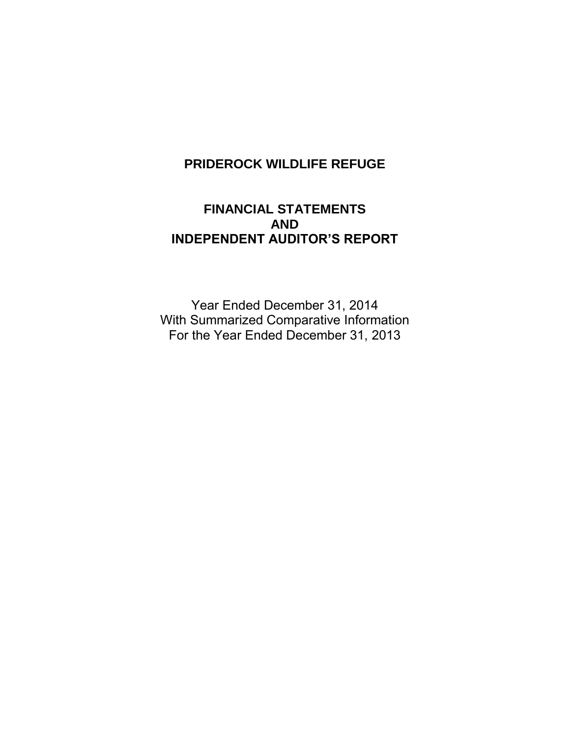# **PRIDEROCK WILDLIFE REFUGE**

# **FINANCIAL STATEMENTS AND INDEPENDENT AUDITOR'S REPORT**

Year Ended December 31, 2014 With Summarized Comparative Information For the Year Ended December 31, 2013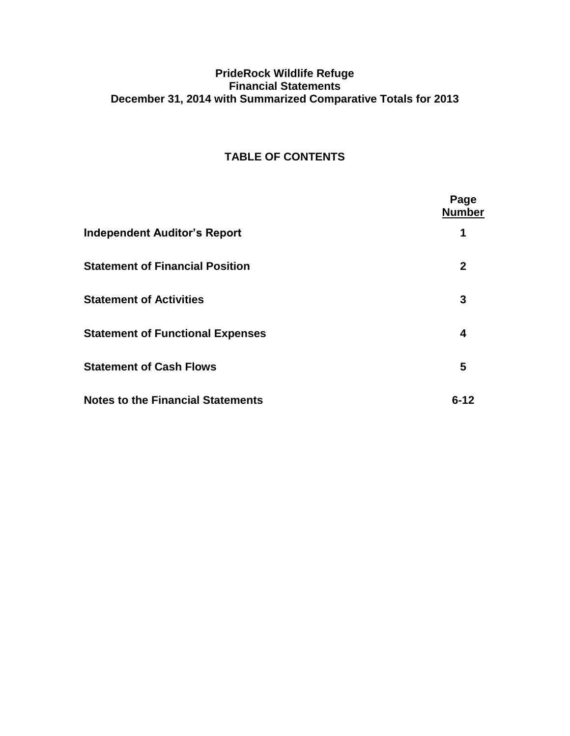### **PrideRock Wildlife Refuge Financial Statements December 31, 2014 with Summarized Comparative Totals for 2013**

### **TABLE OF CONTENTS**

|                                          | Page<br><b>Number</b> |
|------------------------------------------|-----------------------|
| <b>Independent Auditor's Report</b>      | 1                     |
| <b>Statement of Financial Position</b>   | $\mathbf{2}$          |
| <b>Statement of Activities</b>           | 3                     |
| <b>Statement of Functional Expenses</b>  | 4                     |
| <b>Statement of Cash Flows</b>           | 5                     |
| <b>Notes to the Financial Statements</b> | $6 - 12$              |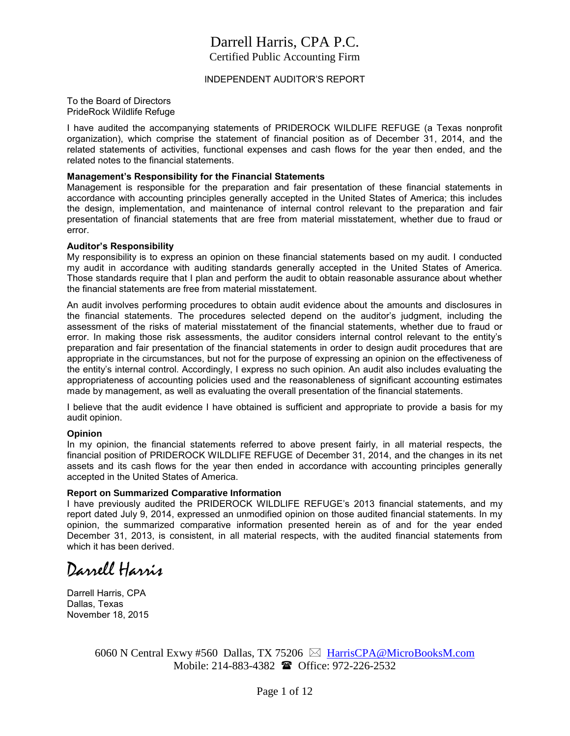# Darrell Harris, CPA P.C.

Certified Public Accounting Firm

#### INDEPENDENT AUDITOR'S REPORT

To the Board of Directors PrideRock Wildlife Refuge

I have audited the accompanying statements of PRIDEROCK WILDLIFE REFUGE (a Texas nonprofit organization), which comprise the statement of financial position as of December 31, 2014, and the related statements of activities, functional expenses and cash flows for the year then ended, and the related notes to the financial statements.

#### **Management's Responsibility for the Financial Statements**

Management is responsible for the preparation and fair presentation of these financial statements in accordance with accounting principles generally accepted in the United States of America; this includes the design, implementation, and maintenance of internal control relevant to the preparation and fair presentation of financial statements that are free from material misstatement, whether due to fraud or error.

#### **Auditor's Responsibility**

My responsibility is to express an opinion on these financial statements based on my audit. I conducted my audit in accordance with auditing standards generally accepted in the United States of America. Those standards require that I plan and perform the audit to obtain reasonable assurance about whether the financial statements are free from material misstatement.

An audit involves performing procedures to obtain audit evidence about the amounts and disclosures in the financial statements. The procedures selected depend on the auditor's judgment, including the assessment of the risks of material misstatement of the financial statements, whether due to fraud or error. In making those risk assessments, the auditor considers internal control relevant to the entity's preparation and fair presentation of the financial statements in order to design audit procedures that are appropriate in the circumstances, but not for the purpose of expressing an opinion on the effectiveness of the entity's internal control. Accordingly, I express no such opinion. An audit also includes evaluating the appropriateness of accounting policies used and the reasonableness of significant accounting estimates made by management, as well as evaluating the overall presentation of the financial statements.

I believe that the audit evidence I have obtained is sufficient and appropriate to provide a basis for my audit opinion.

#### **Opinion**

In my opinion, the financial statements referred to above present fairly, in all material respects, the financial position of PRIDEROCK WILDLIFE REFUGE of December 31, 2014, and the changes in its net assets and its cash flows for the year then ended in accordance with accounting principles generally accepted in the United States of America.

#### **Report on Summarized Comparative Information**

I have previously audited the PRIDEROCK WILDLIFE REFUGE's 2013 financial statements, and my report dated July 9, 2014, expressed an unmodified opinion on those audited financial statements. In my opinion, the summarized comparative information presented herein as of and for the year ended December 31, 2013, is consistent, in all material respects, with the audited financial statements from which it has been derived.

Darrell Harris

Darrell Harris, CPA Dallas, Texas November 18, 2015

> 6060 N Central Exwy #560 Dallas, TX 75206  $\boxtimes$  [HarrisCPA@MicroBooksM.com](mailto:HarrisCPA@MicroBooksM.com) Mobile: 214-883-4382 **a** Office: 972-226-2532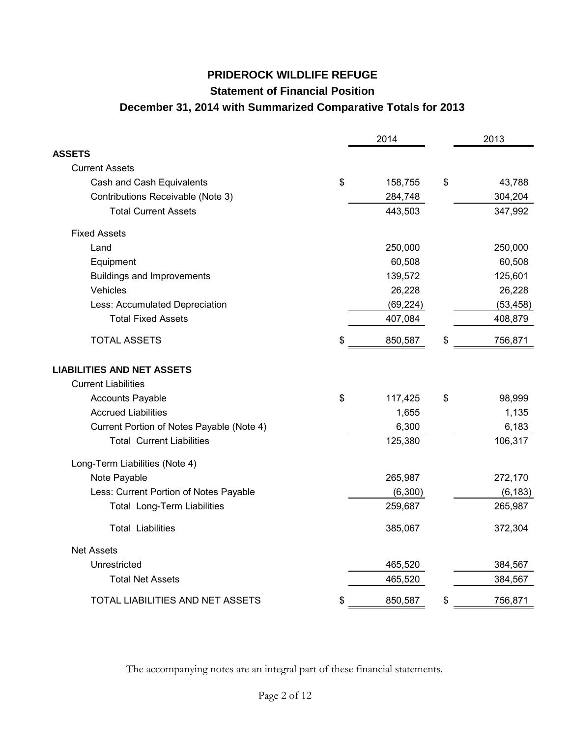# **PRIDEROCK WILDLIFE REFUGE Statement of Financial Position December 31, 2014 with Summarized Comparative Totals for 2013**

|                                           | 2014          | 2013          |
|-------------------------------------------|---------------|---------------|
| <b>ASSETS</b>                             |               |               |
| <b>Current Assets</b>                     |               |               |
| Cash and Cash Equivalents                 | \$<br>158,755 | \$<br>43,788  |
| Contributions Receivable (Note 3)         | 284,748       | 304,204       |
| <b>Total Current Assets</b>               | 443,503       | 347,992       |
| <b>Fixed Assets</b>                       |               |               |
| Land                                      | 250,000       | 250,000       |
| Equipment                                 | 60,508        | 60,508        |
| <b>Buildings and Improvements</b>         | 139,572       | 125,601       |
| Vehicles                                  | 26,228        | 26,228        |
| Less: Accumulated Depreciation            | (69, 224)     | (53, 458)     |
| <b>Total Fixed Assets</b>                 | 407,084       | 408,879       |
| <b>TOTAL ASSETS</b>                       | \$<br>850,587 | \$<br>756,871 |
| <b>LIABILITIES AND NET ASSETS</b>         |               |               |
| <b>Current Liabilities</b>                |               |               |
| <b>Accounts Payable</b>                   | \$<br>117,425 | \$<br>98,999  |
| <b>Accrued Liabilities</b>                | 1,655         | 1,135         |
| Current Portion of Notes Payable (Note 4) | 6,300         | 6,183         |
| <b>Total Current Liabilities</b>          | 125,380       | 106,317       |
| Long-Term Liabilities (Note 4)            |               |               |
| Note Payable                              | 265,987       | 272,170       |
| Less: Current Portion of Notes Payable    | (6,300)       | (6, 183)      |
| Total Long-Term Liabilities               | 259,687       | 265,987       |
| <b>Total Liabilities</b>                  | 385,067       | 372,304       |
| <b>Net Assets</b>                         |               |               |
| Unrestricted                              | 465,520       | 384,567       |
| <b>Total Net Assets</b>                   | 465,520       | 384,567       |
| TOTAL LIABILITIES AND NET ASSETS          | \$<br>850,587 | \$<br>756,871 |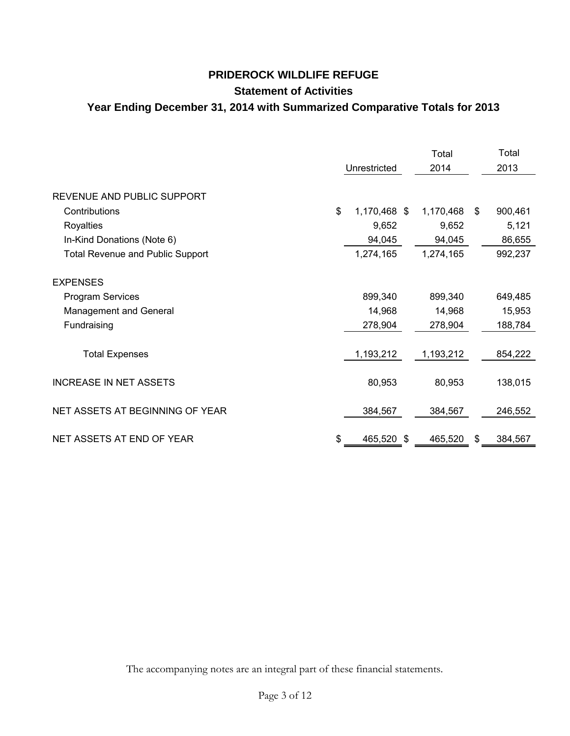## **PRIDEROCK WILDLIFE REFUGE Statement of Activities Year Ending December 31, 2014 with Summarized Comparative Totals for 2013**

|                                         |                    | Total     | Total         |
|-----------------------------------------|--------------------|-----------|---------------|
|                                         | Unrestricted       | 2014      | 2013          |
| REVENUE AND PUBLIC SUPPORT              |                    |           |               |
| Contributions                           | \$<br>1,170,468 \$ | 1,170,468 | \$<br>900,461 |
| Royalties                               | 9,652              | 9,652     | 5,121         |
| In-Kind Donations (Note 6)              | 94,045             | 94,045    | 86,655        |
| <b>Total Revenue and Public Support</b> | 1,274,165          | 1,274,165 | 992,237       |
| <b>EXPENSES</b>                         |                    |           |               |
| <b>Program Services</b>                 | 899,340            | 899,340   | 649,485       |
| Management and General                  | 14,968             | 14,968    | 15,953        |
| Fundraising                             | 278,904            | 278,904   | 188,784       |
|                                         |                    |           |               |
| <b>Total Expenses</b>                   | 1,193,212          | 1,193,212 | 854,222       |
| <b>INCREASE IN NET ASSETS</b>           | 80,953             | 80,953    | 138,015       |
| NET ASSETS AT BEGINNING OF YEAR         | 384,567            | 384,567   | 246,552       |
| NET ASSETS AT END OF YEAR               | \$<br>465,520 \$   | 465,520   | \$<br>384,567 |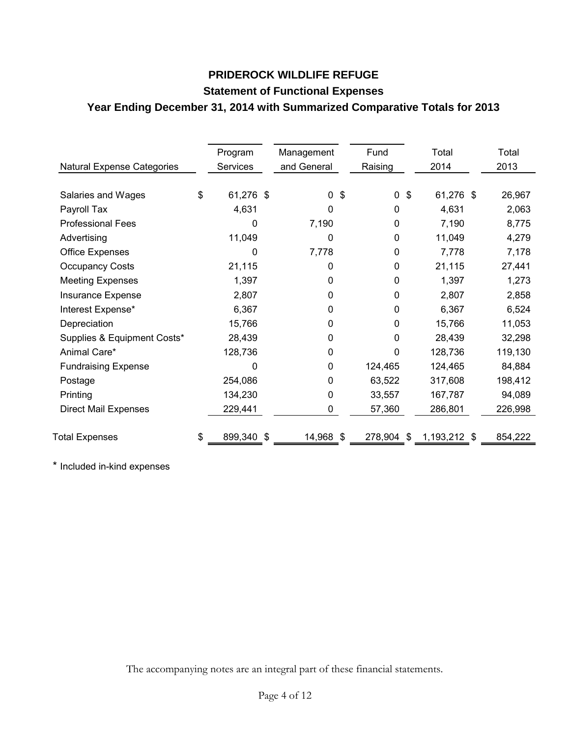# **PRIDEROCK WILDLIFE REFUGE Statement of Functional Expenses Year Ending December 31, 2014 with Summarized Comparative Totals for 2013**

| <b>Natural Expense Categories</b> | Program<br><b>Services</b> |     | Management<br>and General | Fund<br>Raising           | Total<br>2014 | Total<br>2013 |
|-----------------------------------|----------------------------|-----|---------------------------|---------------------------|---------------|---------------|
| Salaries and Wages                | \$<br>61,276 \$            |     | $\Omega$                  | \$<br>$\mathfrak{S}$<br>0 | 61,276 \$     | 26,967        |
| Payroll Tax                       | 4,631                      |     | 0                         | 0                         | 4,631         | 2,063         |
| <b>Professional Fees</b>          | 0                          |     | 7,190                     | 0                         | 7,190         | 8,775         |
| Advertising                       | 11,049                     |     | 0                         | 0                         | 11,049        | 4,279         |
| <b>Office Expenses</b>            | 0                          |     | 7,778                     | $\Omega$                  | 7,778         | 7,178         |
| <b>Occupancy Costs</b>            | 21,115                     |     | 0                         | 0                         | 21,115        | 27,441        |
| <b>Meeting Expenses</b>           | 1,397                      |     | 0                         | 0                         | 1,397         | 1,273         |
| Insurance Expense                 | 2,807                      |     | 0                         | 0                         | 2,807         | 2,858         |
| Interest Expense*                 | 6,367                      |     | 0                         | 0                         | 6,367         | 6,524         |
| Depreciation                      | 15,766                     |     | 0                         | 0                         | 15,766        | 11,053        |
| Supplies & Equipment Costs*       | 28,439                     |     | 0                         | 0                         | 28,439        | 32,298        |
| Animal Care*                      | 128,736                    |     | 0                         | 0                         | 128,736       | 119,130       |
| <b>Fundraising Expense</b>        | 0                          |     | 0                         | 124,465                   | 124,465       | 84,884        |
| Postage                           | 254,086                    |     | 0                         | 63,522                    | 317,608       | 198,412       |
| Printing                          | 134,230                    |     | 0                         | 33,557                    | 167,787       | 94,089        |
| <b>Direct Mail Expenses</b>       | 229,441                    |     | 0                         | 57,360                    | 286,801       | 226,998       |
| <b>Total Expenses</b>             | \$<br>899,340              | -\$ | 14,968 \$                 | 278,904<br>\$             | 1,193,212 \$  | 854,222       |

\* Included in-kind expenses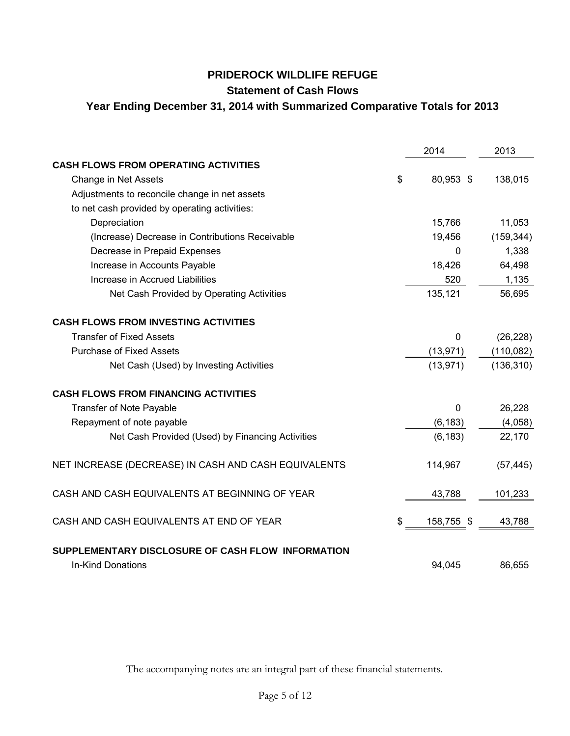#### **PRIDEROCK WILDLIFE REFUGE**

### **Statement of Cash Flows**

### **Year Ending December 31, 2014 with Summarized Comparative Totals for 2013**

|                                                                               | 2014             | 2013       |
|-------------------------------------------------------------------------------|------------------|------------|
| <b>CASH FLOWS FROM OPERATING ACTIVITIES</b>                                   |                  |            |
| Change in Net Assets                                                          | \$<br>80,953 \$  | 138,015    |
| Adjustments to reconcile change in net assets                                 |                  |            |
| to net cash provided by operating activities:                                 |                  |            |
| Depreciation                                                                  | 15,766           | 11,053     |
| (Increase) Decrease in Contributions Receivable                               | 19,456           | (159, 344) |
| Decrease in Prepaid Expenses                                                  | $\mathbf 0$      | 1,338      |
| Increase in Accounts Payable                                                  | 18,426           | 64,498     |
| Increase in Accrued Liabilities                                               | 520              | 1,135      |
| Net Cash Provided by Operating Activities                                     | 135,121          | 56,695     |
| <b>CASH FLOWS FROM INVESTING ACTIVITIES</b>                                   |                  |            |
| <b>Transfer of Fixed Assets</b>                                               | $\mathbf 0$      | (26, 228)  |
| <b>Purchase of Fixed Assets</b>                                               | (13, 971)        | (110, 082) |
| Net Cash (Used) by Investing Activities                                       | (13, 971)        | (136, 310) |
| <b>CASH FLOWS FROM FINANCING ACTIVITIES</b>                                   |                  |            |
| <b>Transfer of Note Payable</b>                                               | $\mathbf 0$      | 26,228     |
| Repayment of note payable                                                     | (6, 183)         | (4,058)    |
| Net Cash Provided (Used) by Financing Activities                              | (6, 183)         | 22,170     |
| NET INCREASE (DECREASE) IN CASH AND CASH EQUIVALENTS                          | 114,967          | (57, 445)  |
| CASH AND CASH EQUIVALENTS AT BEGINNING OF YEAR                                | 43,788           | 101,233    |
| CASH AND CASH EQUIVALENTS AT END OF YEAR                                      | \$<br>158,755 \$ | 43,788     |
| SUPPLEMENTARY DISCLOSURE OF CASH FLOW INFORMATION<br><b>In-Kind Donations</b> | 94,045           | 86,655     |
|                                                                               |                  |            |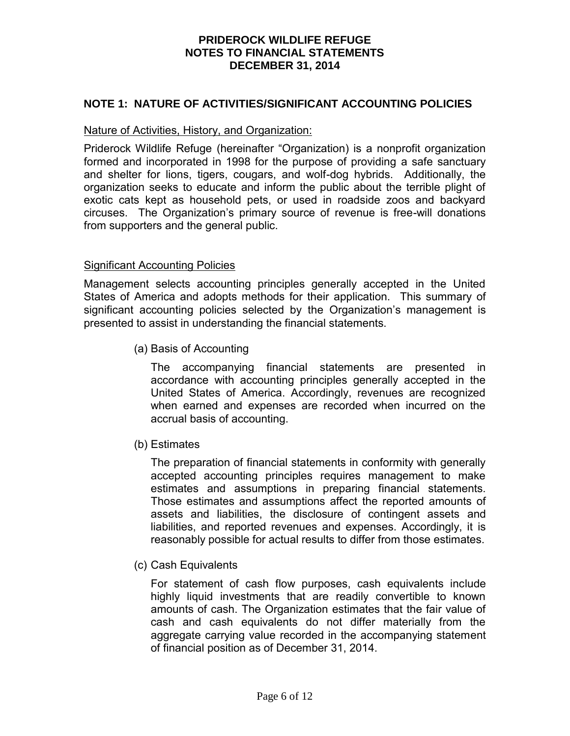#### **NOTE 1: NATURE OF ACTIVITIES/SIGNIFICANT ACCOUNTING POLICIES**

#### Nature of Activities, History, and Organization:

Priderock Wildlife Refuge (hereinafter "Organization) is a nonprofit organization formed and incorporated in 1998 for the purpose of providing a safe sanctuary and shelter for lions, tigers, cougars, and wolf-dog hybrids. Additionally, the organization seeks to educate and inform the public about the terrible plight of exotic cats kept as household pets, or used in roadside zoos and backyard circuses. The Organization's primary source of revenue is free-will donations from supporters and the general public.

#### Significant Accounting Policies

Management selects accounting principles generally accepted in the United States of America and adopts methods for their application. This summary of significant accounting policies selected by the Organization's management is presented to assist in understanding the financial statements.

(a) Basis of Accounting

The accompanying financial statements are presented in accordance with accounting principles generally accepted in the United States of America. Accordingly, revenues are recognized when earned and expenses are recorded when incurred on the accrual basis of accounting.

(b) Estimates

 The preparation of financial statements in conformity with generally accepted accounting principles requires management to make estimates and assumptions in preparing financial statements. Those estimates and assumptions affect the reported amounts of assets and liabilities, the disclosure of contingent assets and liabilities, and reported revenues and expenses. Accordingly, it is reasonably possible for actual results to differ from those estimates.

(c) Cash Equivalents

For statement of cash flow purposes, cash equivalents include highly liquid investments that are readily convertible to known amounts of cash. The Organization estimates that the fair value of cash and cash equivalents do not differ materially from the aggregate carrying value recorded in the accompanying statement of financial position as of December 31, 2014.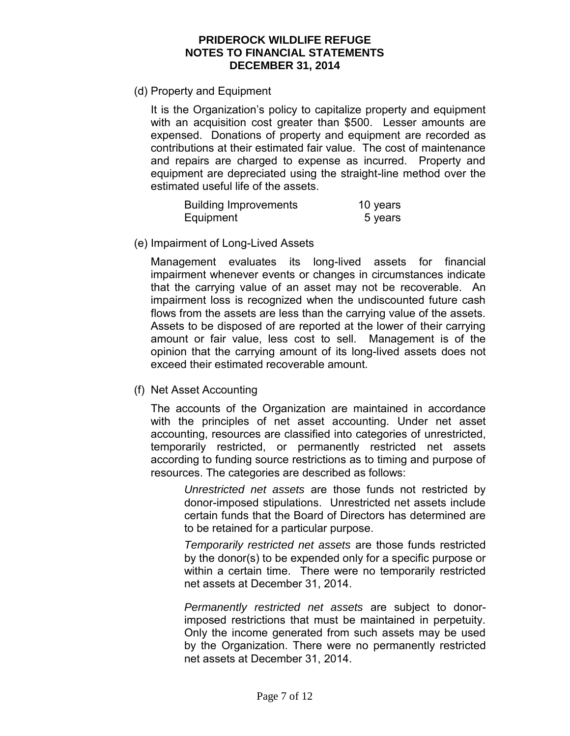(d) Property and Equipment

It is the Organization's policy to capitalize property and equipment with an acquisition cost greater than \$500. Lesser amounts are expensed. Donations of property and equipment are recorded as contributions at their estimated fair value. The cost of maintenance and repairs are charged to expense as incurred. Property and equipment are depreciated using the straight-line method over the estimated useful life of the assets.

| <b>Building Improvements</b> | 10 years |
|------------------------------|----------|
| Equipment                    | 5 years  |

(e) Impairment of Long-Lived Assets

Management evaluates its long-lived assets for financial impairment whenever events or changes in circumstances indicate that the carrying value of an asset may not be recoverable. An impairment loss is recognized when the undiscounted future cash flows from the assets are less than the carrying value of the assets. Assets to be disposed of are reported at the lower of their carrying amount or fair value, less cost to sell. Management is of the opinion that the carrying amount of its long-lived assets does not exceed their estimated recoverable amount.

(f) Net Asset Accounting

The accounts of the Organization are maintained in accordance with the principles of net asset accounting. Under net asset accounting, resources are classified into categories of unrestricted, temporarily restricted, or permanently restricted net assets according to funding source restrictions as to timing and purpose of resources. The categories are described as follows:

*Unrestricted net assets* are those funds not restricted by donor-imposed stipulations. Unrestricted net assets include certain funds that the Board of Directors has determined are to be retained for a particular purpose.

*Temporarily restricted net assets* are those funds restricted by the donor(s) to be expended only for a specific purpose or within a certain time. There were no temporarily restricted net assets at December 31, 2014.

*Permanently restricted net assets* are subject to donorimposed restrictions that must be maintained in perpetuity. Only the income generated from such assets may be used by the Organization. There were no permanently restricted net assets at December 31, 2014.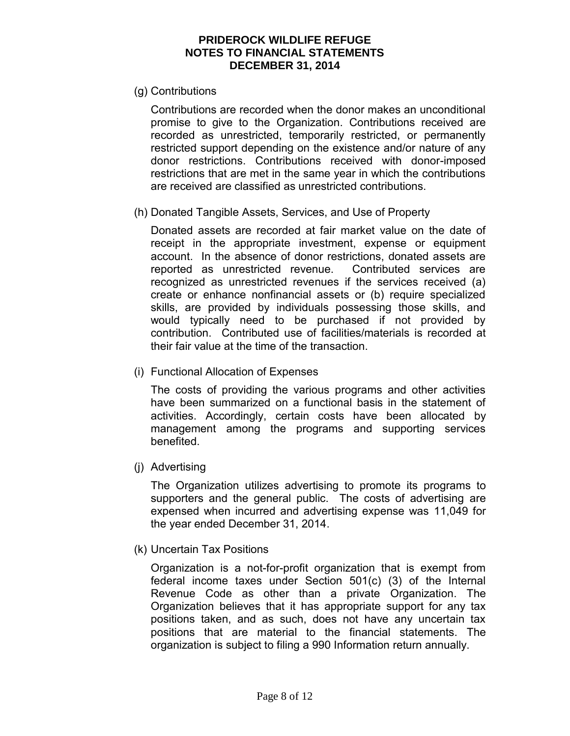(g) Contributions

Contributions are recorded when the donor makes an unconditional promise to give to the Organization. Contributions received are recorded as unrestricted, temporarily restricted, or permanently restricted support depending on the existence and/or nature of any donor restrictions. Contributions received with donor-imposed restrictions that are met in the same year in which the contributions are received are classified as unrestricted contributions.

(h) Donated Tangible Assets, Services, and Use of Property

Donated assets are recorded at fair market value on the date of receipt in the appropriate investment, expense or equipment account. In the absence of donor restrictions, donated assets are reported as unrestricted revenue. Contributed services are recognized as unrestricted revenues if the services received (a) create or enhance nonfinancial assets or (b) require specialized skills, are provided by individuals possessing those skills, and would typically need to be purchased if not provided by contribution. Contributed use of facilities/materials is recorded at their fair value at the time of the transaction.

(i) Functional Allocation of Expenses

The costs of providing the various programs and other activities have been summarized on a functional basis in the statement of activities. Accordingly, certain costs have been allocated by management among the programs and supporting services benefited.

(j) Advertising

The Organization utilizes advertising to promote its programs to supporters and the general public. The costs of advertising are expensed when incurred and advertising expense was 11,049 for the year ended December 31, 2014.

(k) Uncertain Tax Positions

Organization is a not-for-profit organization that is exempt from federal income taxes under Section 501(c) (3) of the Internal Revenue Code as other than a private Organization. The Organization believes that it has appropriate support for any tax positions taken, and as such, does not have any uncertain tax positions that are material to the financial statements. The organization is subject to filing a 990 Information return annually.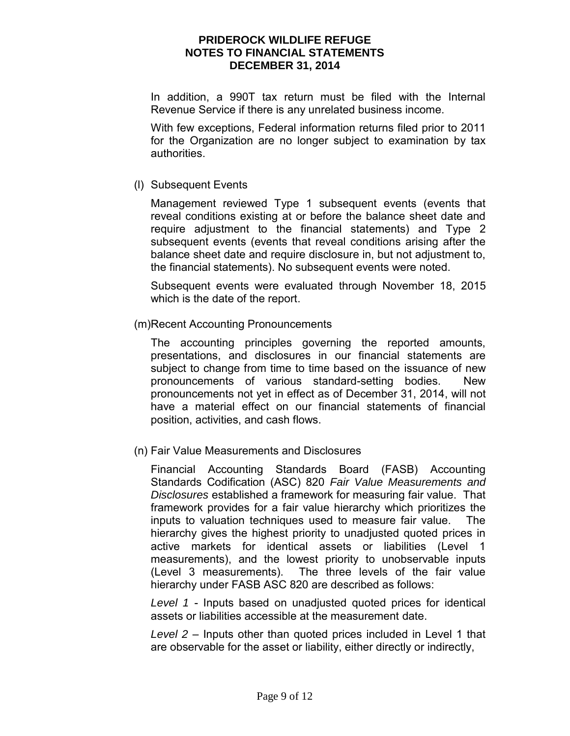In addition, a 990T tax return must be filed with the Internal Revenue Service if there is any unrelated business income.

With few exceptions, Federal information returns filed prior to 2011 for the Organization are no longer subject to examination by tax authorities.

#### (l) Subsequent Events

Management reviewed Type 1 subsequent events (events that reveal conditions existing at or before the balance sheet date and require adjustment to the financial statements) and Type 2 subsequent events (events that reveal conditions arising after the balance sheet date and require disclosure in, but not adjustment to, the financial statements). No subsequent events were noted.

Subsequent events were evaluated through November 18, 2015 which is the date of the report.

(m)Recent Accounting Pronouncements

The accounting principles governing the reported amounts, presentations, and disclosures in our financial statements are subject to change from time to time based on the issuance of new pronouncements of various standard-setting bodies. New pronouncements not yet in effect as of December 31, 2014, will not have a material effect on our financial statements of financial position, activities, and cash flows.

(n) Fair Value Measurements and Disclosures

Financial Accounting Standards Board (FASB) Accounting Standards Codification (ASC) 820 *Fair Value Measurements and Disclosures* established a framework for measuring fair value. That framework provides for a fair value hierarchy which prioritizes the inputs to valuation techniques used to measure fair value. The hierarchy gives the highest priority to unadjusted quoted prices in active markets for identical assets or liabilities (Level 1 measurements), and the lowest priority to unobservable inputs (Level 3 measurements). The three levels of the fair value hierarchy under FASB ASC 820 are described as follows:

*Level 1* - Inputs based on unadjusted quoted prices for identical assets or liabilities accessible at the measurement date.

*Level 2* – Inputs other than quoted prices included in Level 1 that are observable for the asset or liability, either directly or indirectly,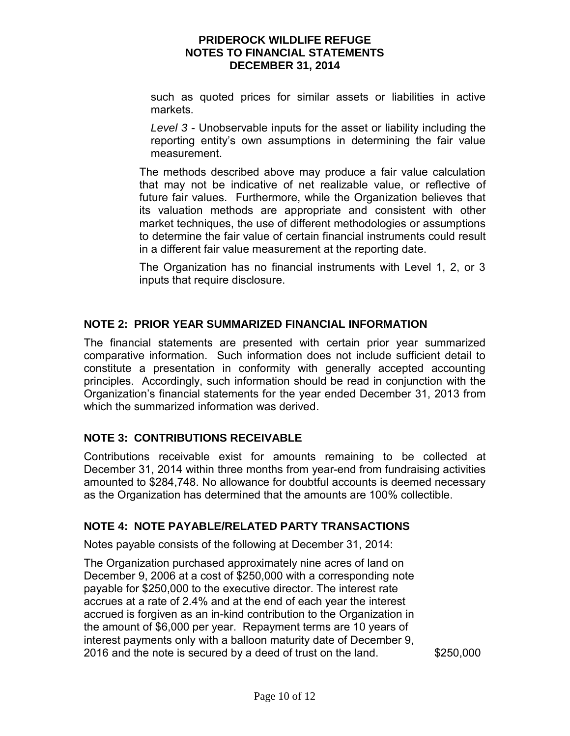such as quoted prices for similar assets or liabilities in active markets.

 *Level 3* - Unobservable inputs for the asset or liability including the reporting entity's own assumptions in determining the fair value measurement.

 The methods described above may produce a fair value calculation that may not be indicative of net realizable value, or reflective of future fair values. Furthermore, while the Organization believes that its valuation methods are appropriate and consistent with other market techniques, the use of different methodologies or assumptions to determine the fair value of certain financial instruments could result in a different fair value measurement at the reporting date.

The Organization has no financial instruments with Level 1, 2, or 3 inputs that require disclosure.

### **NOTE 2: PRIOR YEAR SUMMARIZED FINANCIAL INFORMATION**

The financial statements are presented with certain prior year summarized comparative information. Such information does not include sufficient detail to constitute a presentation in conformity with generally accepted accounting principles. Accordingly, such information should be read in conjunction with the Organization's financial statements for the year ended December 31, 2013 from which the summarized information was derived.

### **NOTE 3: CONTRIBUTIONS RECEIVABLE**

Contributions receivable exist for amounts remaining to be collected at December 31, 2014 within three months from year-end from fundraising activities amounted to \$284,748. No allowance for doubtful accounts is deemed necessary as the Organization has determined that the amounts are 100% collectible.

### **NOTE 4: NOTE PAYABLE/RELATED PARTY TRANSACTIONS**

Notes payable consists of the following at December 31, 2014:

The Organization purchased approximately nine acres of land on December 9, 2006 at a cost of \$250,000 with a corresponding note payable for \$250,000 to the executive director. The interest rate accrues at a rate of 2.4% and at the end of each year the interest accrued is forgiven as an in-kind contribution to the Organization in the amount of \$6,000 per year. Repayment terms are 10 years of interest payments only with a balloon maturity date of December 9, 2016 and the note is secured by a deed of trust on the land. \$250,000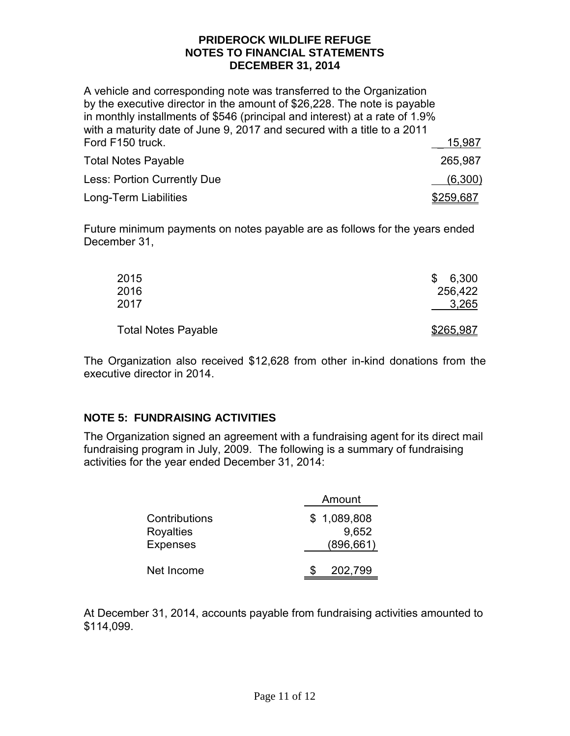A vehicle and corresponding note was transferred to the Organization by the executive director in the amount of \$26,228. The note is payable in monthly installments of \$546 (principal and interest) at a rate of 1.9% with a maturity date of June 9, 2017 and secured with a title to a 2011 Ford F150 truck. 2008. The state of the state of the state of the state of the state of the state of the state of the state of the state of the state of the state of the state of the state of the state of the state of the

| <b>Total Notes Payable</b>  | 265,987   |
|-----------------------------|-----------|
| Less: Portion Currently Due | (6,300)   |
| Long-Term Liabilities       | \$259,687 |

Future minimum payments on notes payable are as follows for the years ended December 31,

| 2015<br>2016               | 6,300<br>\$<br>256,422 |
|----------------------------|------------------------|
| 2017                       | 3,265                  |
| <b>Total Notes Payable</b> | \$265,987              |

The Organization also received \$12,628 from other in-kind donations from the executive director in 2014.

### **NOTE 5: FUNDRAISING ACTIVITIES**

The Organization signed an agreement with a fundraising agent for its direct mail fundraising program in July, 2009. The following is a summary of fundraising activities for the year ended December 31, 2014:

|                 | Amount      |            |
|-----------------|-------------|------------|
| Contributions   | \$1,089,808 |            |
| Royalties       |             | 9,652      |
| <b>Expenses</b> |             | (896, 661) |
|                 |             |            |
| Net Income      |             | 202,799    |

At December 31, 2014, accounts payable from fundraising activities amounted to \$114,099.